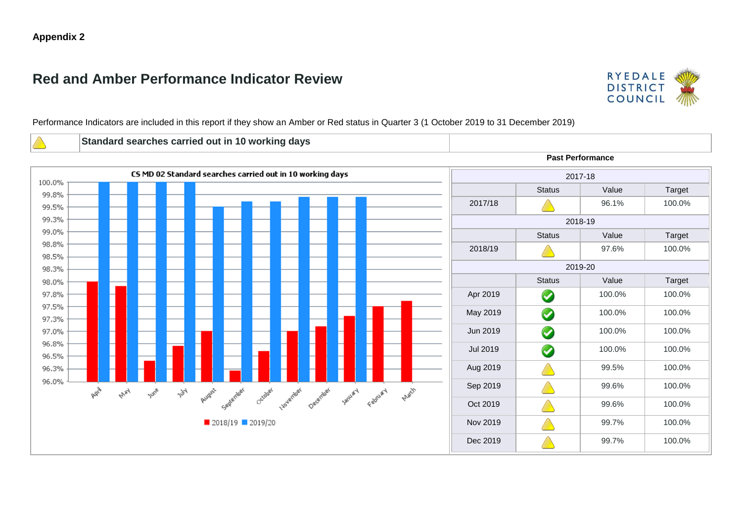# **Red and Amber Performance Indicator Review**



Performance Indicators are included in this report if they show an Amber or Red status in Quarter 3 (1 October 2019 to 31 December 2019)

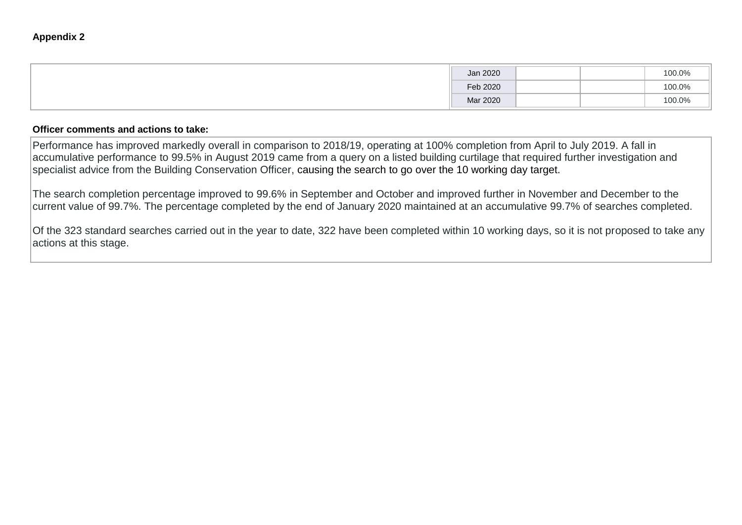| Jan 2020 |  | 100.0% |
|----------|--|--------|
| Feb 2020 |  | 100.0% |
| Mar 2020 |  | 100.0% |

Performance has improved markedly overall in comparison to 2018/19, operating at 100% completion from April to July 2019. A fall in accumulative performance to 99.5% in August 2019 came from a query on a listed building curtilage that required further investigation and specialist advice from the Building Conservation Officer, causing the search to go over the 10 working day target.

The search completion percentage improved to 99.6% in September and October and improved further in November and December to the current value of 99.7%. The percentage completed by the end of January 2020 maintained at an accumulative 99.7% of searches completed.

Of the 323 standard searches carried out in the year to date, 322 have been completed within 10 working days, so it is not proposed to take any actions at this stage.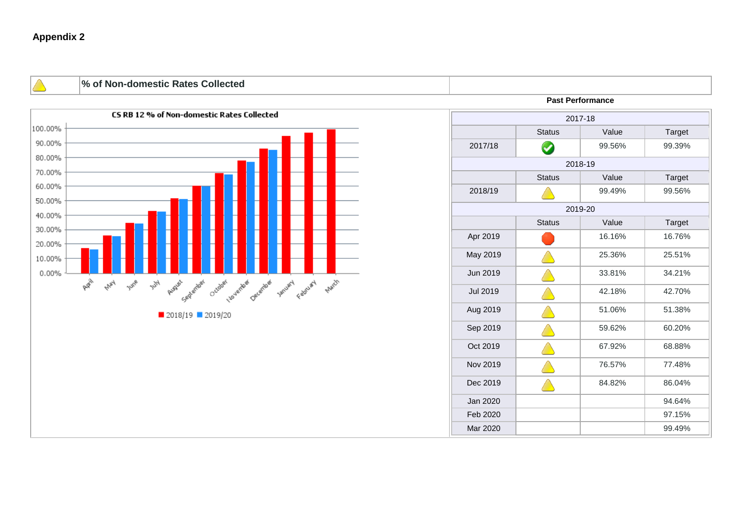**% of Non-domestic Rates Collected**



#### **Past Performance**

| 2017-18         |                      |        |        |  |  |  |  |
|-----------------|----------------------|--------|--------|--|--|--|--|
|                 | <b>Status</b>        | Value  | Target |  |  |  |  |
| 2017/18         | $\blacktriangledown$ | 99.56% | 99.39% |  |  |  |  |
| 2018-19         |                      |        |        |  |  |  |  |
|                 | <b>Status</b>        | Value  | Target |  |  |  |  |
| 2018/19         |                      | 99.49% | 99.56% |  |  |  |  |
| 2019-20         |                      |        |        |  |  |  |  |
|                 | <b>Status</b>        | Value  | Target |  |  |  |  |
| Apr 2019        |                      | 16.16% | 16.76% |  |  |  |  |
| May 2019        |                      | 25.36% | 25.51% |  |  |  |  |
| Jun 2019        |                      | 33.81% | 34.21% |  |  |  |  |
| <b>Jul 2019</b> |                      | 42.18% | 42.70% |  |  |  |  |
| Aug 2019        |                      | 51.06% | 51.38% |  |  |  |  |
| Sep 2019        |                      | 59.62% | 60.20% |  |  |  |  |
| Oct 2019        |                      | 67.92% | 68.88% |  |  |  |  |
| Nov 2019        |                      | 76.57% | 77.48% |  |  |  |  |
| Dec 2019        |                      | 84.82% | 86.04% |  |  |  |  |
| Jan 2020        |                      |        | 94.64% |  |  |  |  |
| Feb 2020        |                      |        | 97.15% |  |  |  |  |
| Mar 2020        |                      |        | 99.49% |  |  |  |  |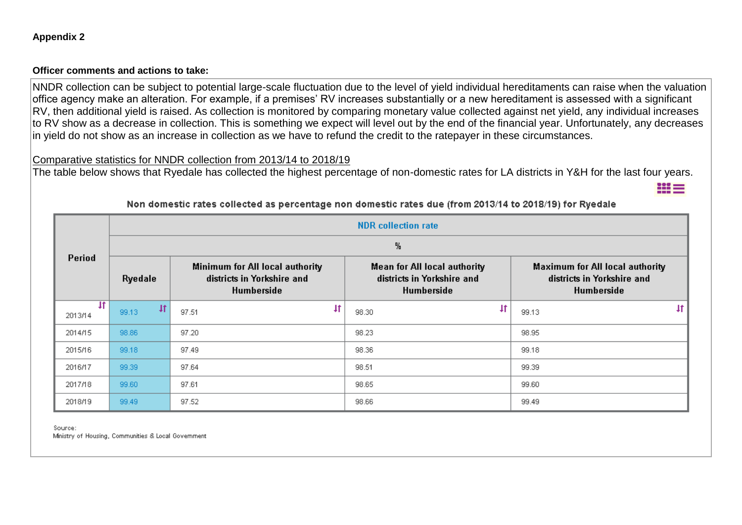NNDR collection can be subject to potential large-scale fluctuation due to the level of yield individual hereditaments can raise when the valuation office agency make an alteration. For example, if a premises' RV increases substantially or a new hereditament is assessed with a significant RV, then additional yield is raised. As collection is monitored by comparing monetary value collected against net yield, any individual increases to RV show as a decrease in collection. This is something we expect will level out by the end of the financial year. Unfortunately, any decreases in yield do not show as an increase in collection as we have to refund the credit to the ratepayer in these circumstances.

## Comparative statistics for NNDR collection from 2013/14 to 2018/19

The table below shows that Ryedale has collected the highest percentage of non-domestic rates for LA districts in Y&H for the last four years.

|                         | <b>NDR</b> collection rate |                                                                             |                                                                               |                                                                             |  |  |  |
|-------------------------|----------------------------|-----------------------------------------------------------------------------|-------------------------------------------------------------------------------|-----------------------------------------------------------------------------|--|--|--|
| Period<br>Ryedale       |                            | Minimum for All local authority<br>districts in Yorkshire and<br>Humberside | %<br>Mean for All local authority<br>districts in Yorkshire and<br>Humberside | Maximum for All local authority<br>districts in Yorkshire and<br>Humberside |  |  |  |
| $\mathbf{H}$<br>2013/14 | Ħ<br>99.13                 | $\ddagger$<br>97.51                                                         | 4t<br>98.30                                                                   | $\ddagger$<br>99.13                                                         |  |  |  |
| 2014/15                 | 98.86                      | 97.20                                                                       | 98.23                                                                         | 98.95                                                                       |  |  |  |
| 2015/16                 | 99.18                      | 97.49                                                                       | 98.36                                                                         | 99.18                                                                       |  |  |  |
| 2016/17                 | 99.39                      | 97.64                                                                       | 98.51                                                                         | 99.39                                                                       |  |  |  |
| 2017/18                 | 99.60                      | 97.61                                                                       | 98.65                                                                         | 99.60                                                                       |  |  |  |
| 2018/19                 | 99.49                      | 97.52                                                                       | 98.66                                                                         | 99.49                                                                       |  |  |  |

Non domestic rates collected as percentage non domestic rates due (from 2013/14 to 2018/19) for Ryedale

111 =

Source: Ministry of Housing, Communities & Local Government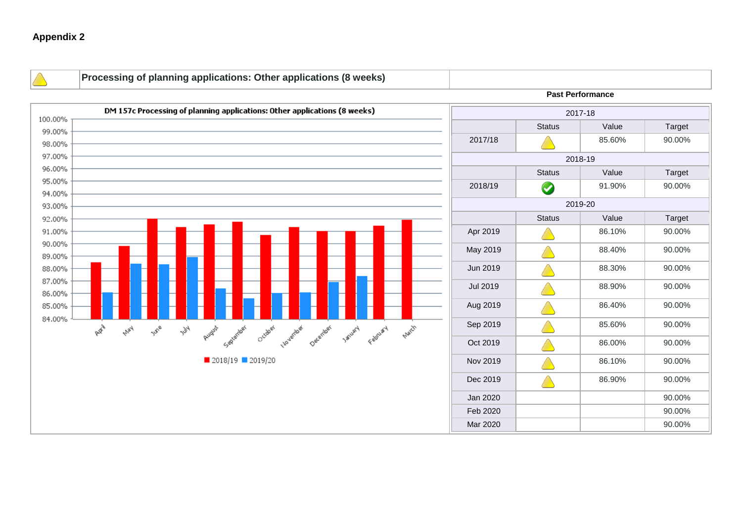**Processing of planning applications: Other applications (8 weeks) Past Performance** DM 157c Processing of planning applications: Other applications (8 weeks) 2017-18 100.00% Status | Value | Target 99.00% 2017/18 **A** 85.60% 90.00% 98.00% 97.00% 2018-19 96.00% Status | Value | Target 95.00% 2018/19 91.90% 90.00% 94.00% 2019-20 93.00% Status | Value | Target 92.00% 91.00% Apr 2019 **Aug 2019** 86.10% **86.10%** 90.00% 90.00% May 2019  $\bigcup_{88.40\%}$  88.40% 90.00% 89.00% 88.00%  $Jun 2019$   $\land$  88.30% 90.00% 87.00%  $Jul 2019$   $\land$  88.90% 90.00% 86.00% Aug 2019 **Aug 2019** 86.40% 86.40% 90.00% 85.00% 84.00% **A**W May August Seilenter Crosser Installate Determined Failury Factory  $\text{Sep } 2019$   $\land$  85.60% 90.00% June  $F_{\rm 2C}$ Oct 2019  $\bigcup$  86.00% 90.00% 2018/19 2019/20 Nov 2019 **A** 86.10% 90.00% Dec 2019  $\bigcup_{86.90\%}$  86.90% 90.00%  $Jan 2020$   $|$  90.00% Feb 2020 | 90.00% Mar 2020 **90.00%**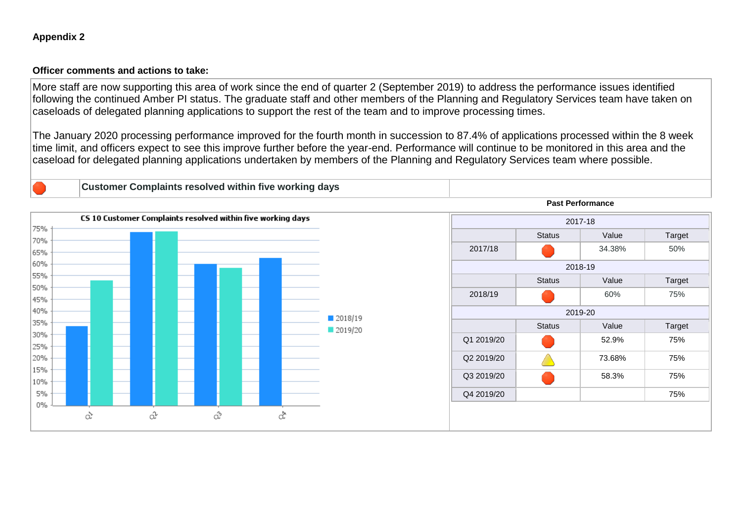More staff are now supporting this area of work since the end of quarter 2 (September 2019) to address the performance issues identified following the continued Amber PI status. The graduate staff and other members of the Planning and Regulatory Services team have taken on caseloads of delegated planning applications to support the rest of the team and to improve processing times.

The January 2020 processing performance improved for the fourth month in succession to 87.4% of applications processed within the 8 week time limit, and officers expect to see this improve further before the year-end. Performance will continue to be monitored in this area and the caseload for delegated planning applications undertaken by members of the Planning and Regulatory Services team where possible.

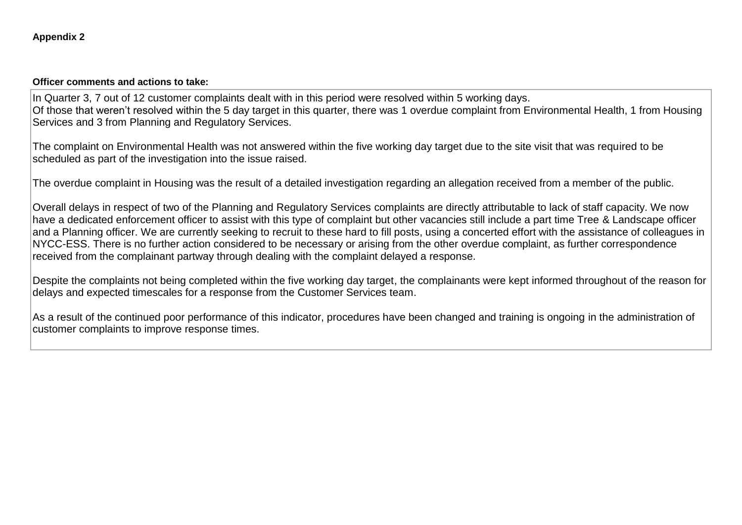In Quarter 3, 7 out of 12 customer complaints dealt with in this period were resolved within 5 working days. Of those that weren't resolved within the 5 day target in this quarter, there was 1 overdue complaint from Environmental Health, 1 from Housing Services and 3 from Planning and Regulatory Services.

The complaint on Environmental Health was not answered within the five working day target due to the site visit that was required to be scheduled as part of the investigation into the issue raised.

The overdue complaint in Housing was the result of a detailed investigation regarding an allegation received from a member of the public.

Overall delays in respect of two of the Planning and Regulatory Services complaints are directly attributable to lack of staff capacity. We now have a dedicated enforcement officer to assist with this type of complaint but other vacancies still include a part time Tree & Landscape officer and a Planning officer. We are currently seeking to recruit to these hard to fill posts, using a concerted effort with the assistance of colleagues in NYCC-ESS. There is no further action considered to be necessary or arising from the other overdue complaint, as further correspondence received from the complainant partway through dealing with the complaint delayed a response.

Despite the complaints not being completed within the five working day target, the complainants were kept informed throughout of the reason for delays and expected timescales for a response from the Customer Services team.

As a result of the continued poor performance of this indicator, procedures have been changed and training is ongoing in the administration of customer complaints to improve response times.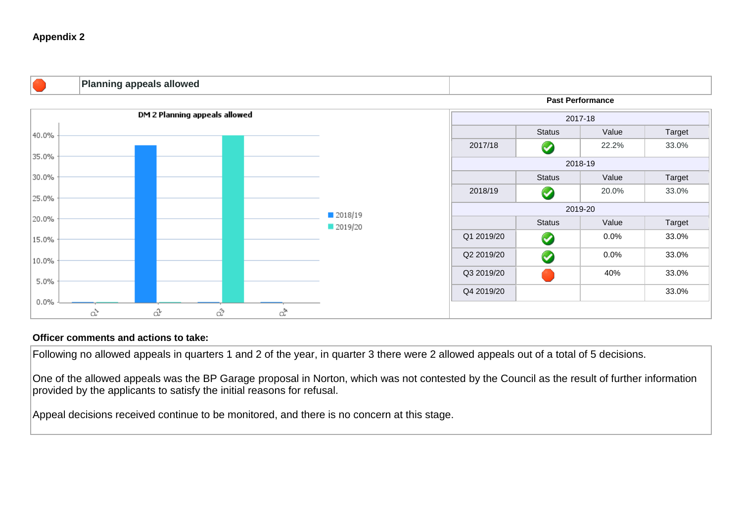

#### **Officer comments and actions to take:**

Following no allowed appeals in quarters 1 and 2 of the year, in quarter 3 there were 2 allowed appeals out of a total of 5 decisions.

One of the allowed appeals was the BP Garage proposal in Norton, which was not contested by the Council as the result of further information provided by the applicants to satisfy the initial reasons for refusal.

Appeal decisions received continue to be monitored, and there is no concern at this stage.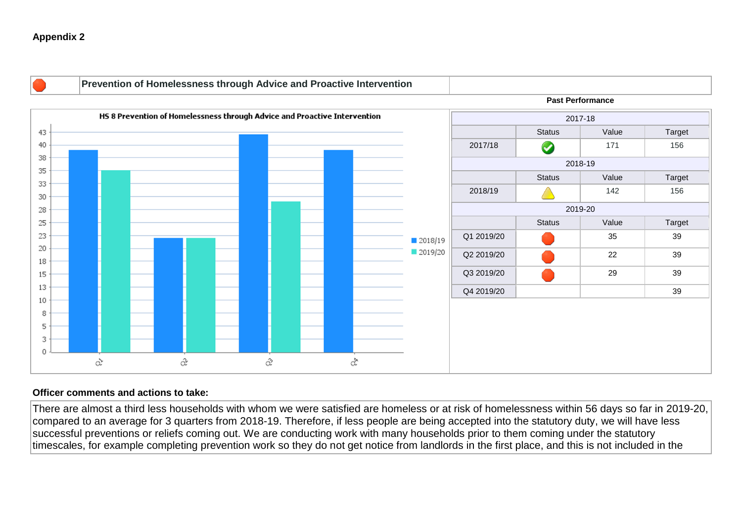

#### **Officer comments and actions to take:**

There are almost a third less households with whom we were satisfied are homeless or at risk of homelessness within 56 days so far in 2019-20, compared to an average for 3 quarters from 2018-19. Therefore, if less people are being accepted into the statutory duty, we will have less successful preventions or reliefs coming out. We are conducting work with many households prior to them coming under the statutory timescales, for example completing prevention work so they do not get notice from landlords in the first place, and this is not included in the